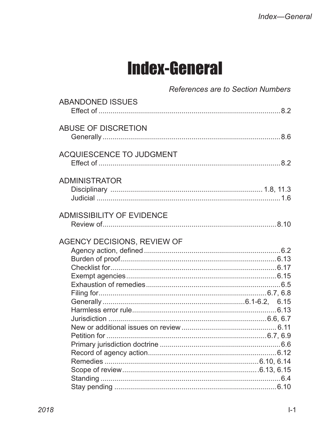# **Index-General**

|                                    | References are to Section Numbers |
|------------------------------------|-----------------------------------|
| <b>ABANDONED ISSUES</b>            |                                   |
|                                    |                                   |
| <b>ABUSE OF DISCRETION</b>         |                                   |
|                                    |                                   |
|                                    |                                   |
| ACQUIESCENCE TO JUDGMENT           |                                   |
|                                    |                                   |
|                                    |                                   |
| <b>ADMINISTRATOR</b>               |                                   |
|                                    |                                   |
|                                    |                                   |
|                                    |                                   |
| <b>ADMISSIBILITY OF EVIDENCE</b>   |                                   |
|                                    |                                   |
| <b>AGENCY DECISIONS, REVIEW OF</b> |                                   |
|                                    |                                   |
|                                    |                                   |
|                                    |                                   |
|                                    |                                   |
|                                    |                                   |
|                                    |                                   |
|                                    |                                   |
|                                    |                                   |
|                                    |                                   |
|                                    |                                   |
|                                    |                                   |
|                                    |                                   |
|                                    |                                   |
|                                    |                                   |
|                                    |                                   |
|                                    |                                   |
|                                    |                                   |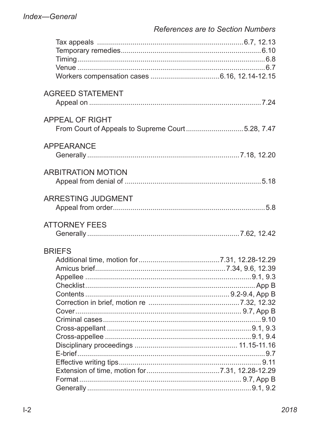| <b>AGREED STATEMENT</b>                                                    |  |
|----------------------------------------------------------------------------|--|
| <b>APPEAL OF RIGHT</b><br>From Court of Appeals to Supreme Court5.28, 7.47 |  |
| <b>APPEARANCE</b>                                                          |  |
| <b>ARBITRATION MOTION</b>                                                  |  |
| ARRESTING JUDGMENT                                                         |  |
| <b>ATTORNEY FEES</b>                                                       |  |
| <b>BRIEFS</b>                                                              |  |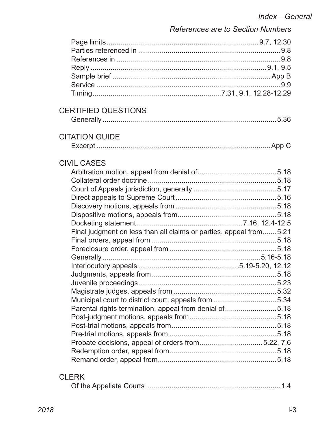| <b>CERTIFIED QUESTIONS</b>                                                                                                                                                                                                                                      |  |
|-----------------------------------------------------------------------------------------------------------------------------------------------------------------------------------------------------------------------------------------------------------------|--|
| <b>CITATION GUIDE</b>                                                                                                                                                                                                                                           |  |
| <b>CIVIL CASES</b><br>Final judgment on less than all claims or parties, appeal from5.21<br>Municipal court to district court, appeals from 5.34<br>Parental rights termination, appeal from denial of5.18<br>Probate decisions, appeal of orders from5.22, 7.6 |  |

#### CLERK

|--|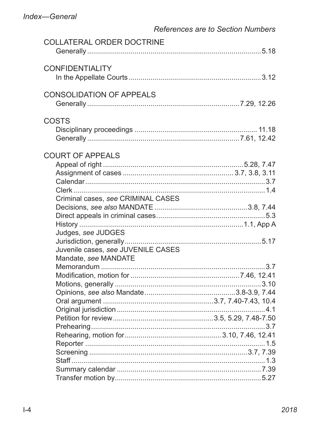|                                                                                                                           | References are to Section Numbers |
|---------------------------------------------------------------------------------------------------------------------------|-----------------------------------|
| <b>COLLATERAL ORDER DOCTRINE</b>                                                                                          |                                   |
| <b>CONFIDENTIALITY</b>                                                                                                    |                                   |
| <b>CONSOLIDATION OF APPEALS</b>                                                                                           |                                   |
| <b>COSTS</b>                                                                                                              |                                   |
| <b>COURT OF APPEALS</b><br>Criminal cases, see CRIMINAL CASES<br>Judges, see JUDGES<br>Juvenile cases, see JUVENILE CASES |                                   |
| Mandate, see MANDATE                                                                                                      | . 3.7                             |
|                                                                                                                           |                                   |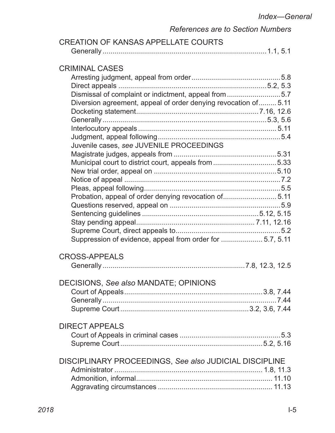| References are to Section Numbers                               |  |  |
|-----------------------------------------------------------------|--|--|
| <b>CREATION OF KANSAS APPELLATE COURTS</b>                      |  |  |
|                                                                 |  |  |
|                                                                 |  |  |
| <b>CRIMINAL CASES</b>                                           |  |  |
|                                                                 |  |  |
|                                                                 |  |  |
| Dismissal of complaint or indictment, appeal from 5.7           |  |  |
| Diversion agreement, appeal of order denying revocation of 5.11 |  |  |
|                                                                 |  |  |
|                                                                 |  |  |
|                                                                 |  |  |
| Juvenile cases, see JUVENILE PROCEEDINGS                        |  |  |
|                                                                 |  |  |
| Municipal court to district court, appeals from 5.33            |  |  |
|                                                                 |  |  |
|                                                                 |  |  |
|                                                                 |  |  |
| Probation, appeal of order denying revocation of 5.11           |  |  |
|                                                                 |  |  |
|                                                                 |  |  |
|                                                                 |  |  |
|                                                                 |  |  |
| Suppression of evidence, appeal from order for 5.7, 5.11        |  |  |
| <b>CROSS-APPEALS</b>                                            |  |  |
|                                                                 |  |  |
|                                                                 |  |  |
| DECISIONS, See also MANDATE; OPINIONS                           |  |  |
|                                                                 |  |  |
|                                                                 |  |  |
|                                                                 |  |  |
|                                                                 |  |  |
| <b>DIRECT APPEALS</b>                                           |  |  |
|                                                                 |  |  |
|                                                                 |  |  |
|                                                                 |  |  |
| DISCIPLINARY PROCEEDINGS, See also JUDICIAL DISCIPLINE          |  |  |
|                                                                 |  |  |
|                                                                 |  |  |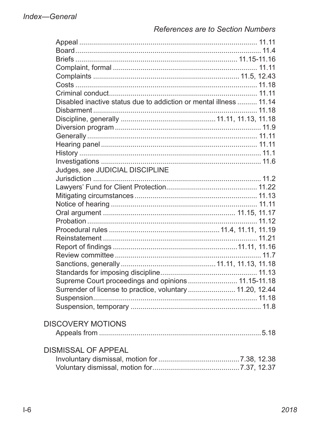| Disabled inactive status due to addiction or mental illness  11.14 |  |
|--------------------------------------------------------------------|--|
|                                                                    |  |
|                                                                    |  |
|                                                                    |  |
|                                                                    |  |
|                                                                    |  |
|                                                                    |  |
|                                                                    |  |
| Judges, see JUDICIAL DISCIPLINE                                    |  |
|                                                                    |  |
|                                                                    |  |
|                                                                    |  |
|                                                                    |  |
|                                                                    |  |
|                                                                    |  |
|                                                                    |  |
|                                                                    |  |
|                                                                    |  |
|                                                                    |  |
|                                                                    |  |
|                                                                    |  |
| Supreme Court proceedings and opinions 11.15-11.18                 |  |
| Surrender of license to practice, voluntary 11.20, 12.44           |  |
|                                                                    |  |
|                                                                    |  |
| <b>DISCOVERY MOTIONS</b>                                           |  |
|                                                                    |  |
|                                                                    |  |
| <b>DISMISSAL OF APPEAL</b>                                         |  |
|                                                                    |  |
|                                                                    |  |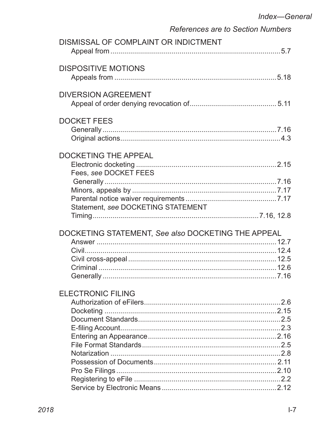|                                                    | <b>References are to Section Numbers</b> |
|----------------------------------------------------|------------------------------------------|
| DISMISSAL OF COMPLAINT OR INDICTMENT               |                                          |
| <b>DISPOSITIVE MOTIONS</b>                         |                                          |
| <b>DIVERSION AGREEMENT</b>                         |                                          |
| <b>DOCKET FEES</b>                                 |                                          |
| DOCKETING THE APPEAL<br>Fees, see DOCKET FEES      |                                          |
| Statement, see DOCKETING STATEMENT                 |                                          |
| DOCKETING STATEMENT, See also DOCKETING THE APPEAL |                                          |
| <b>ELECTRONIC FILING</b>                           |                                          |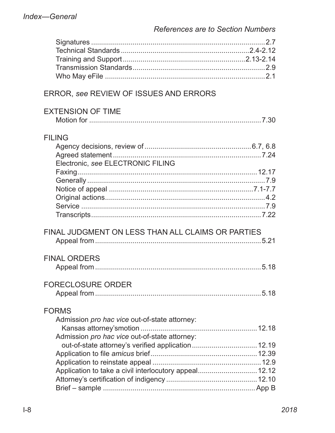#### ERROR, *see* REVIEW OF ISSUES AND ERRORS

#### EXTENSION OF TIME

|--|--|

#### FILING

| Electronic, see ELECTRONIC FILING |  |
|-----------------------------------|--|
|                                   |  |
|                                   |  |
|                                   |  |
|                                   |  |
|                                   |  |
|                                   |  |

### FINAL JUDGMENT ON LESS THAN ALL CLAIMS OR PARTIES

|--|--|--|--|--|--|--|

### FINAL ORDERS

|--|--|--|--|--|

#### FORECLOSURE ORDER

|--|--|

#### FORMS

| Admission pro hac vice out-of-state attorney:          |  |
|--------------------------------------------------------|--|
| Admission pro hac vice out-of-state attorney:          |  |
|                                                        |  |
|                                                        |  |
|                                                        |  |
| Application to take a civil interlocutory appeal 12.12 |  |
|                                                        |  |
|                                                        |  |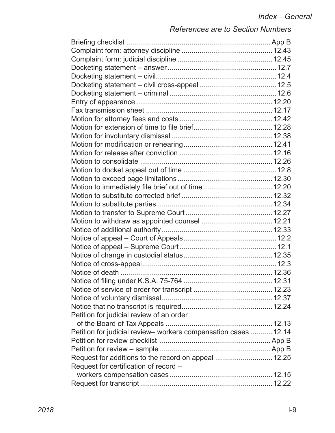| Petition for judicial review of an order                        |  |
|-----------------------------------------------------------------|--|
|                                                                 |  |
| Petition for judicial review- workers compensation cases  12.14 |  |
|                                                                 |  |
|                                                                 |  |
| Request for additions to the record on appeal  12.25            |  |
| Request for certification of record -                           |  |
|                                                                 |  |
|                                                                 |  |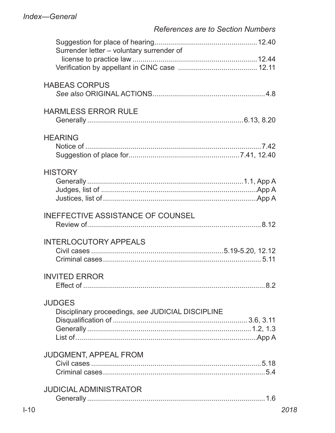|                | References are to Section Numbers                 |  |
|----------------|---------------------------------------------------|--|
|                | Surrender letter - voluntary surrender of         |  |
|                |                                                   |  |
|                | <b>HABEAS CORPUS</b>                              |  |
|                | <b>HARMLESS ERROR RULE</b>                        |  |
|                | <b>HEARING</b>                                    |  |
| <b>HISTORY</b> |                                                   |  |
|                | INEFFECTIVE ASSISTANCE OF COUNSEL                 |  |
|                | <b>INTERLOCUTORY APPEALS</b>                      |  |
|                | <b>INVITED ERROR</b>                              |  |
| <b>JUDGES</b>  | Disciplinary proceedings, see JUDICIAL DISCIPLINE |  |
|                | <b>JUDGMENT, APPEAL FROM</b>                      |  |

#### JUDICIAL ADMINISTRATOR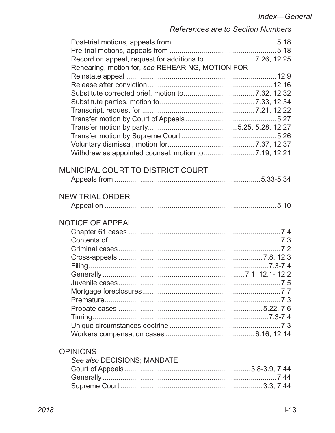| Record on appeal, request for additions to 7.26, 12.25<br>Rehearing, motion for, see REHEARING, MOTION FOR |  |
|------------------------------------------------------------------------------------------------------------|--|
|                                                                                                            |  |
|                                                                                                            |  |
|                                                                                                            |  |
|                                                                                                            |  |
|                                                                                                            |  |
|                                                                                                            |  |
|                                                                                                            |  |
|                                                                                                            |  |
|                                                                                                            |  |
|                                                                                                            |  |
| MUNICIPAL COURT TO DISTRICT COURT                                                                          |  |
|                                                                                                            |  |
| <b>NEW TRIAL ORDER</b>                                                                                     |  |
|                                                                                                            |  |
| <b>NOTICE OF APPEAL</b>                                                                                    |  |
|                                                                                                            |  |
|                                                                                                            |  |
|                                                                                                            |  |
|                                                                                                            |  |
|                                                                                                            |  |
|                                                                                                            |  |
|                                                                                                            |  |
|                                                                                                            |  |
|                                                                                                            |  |
|                                                                                                            |  |
|                                                                                                            |  |
|                                                                                                            |  |
|                                                                                                            |  |
| <b>OPINIONS</b>                                                                                            |  |
| See also DECISIONS; MANDATE                                                                                |  |
|                                                                                                            |  |
|                                                                                                            |  |
|                                                                                                            |  |
|                                                                                                            |  |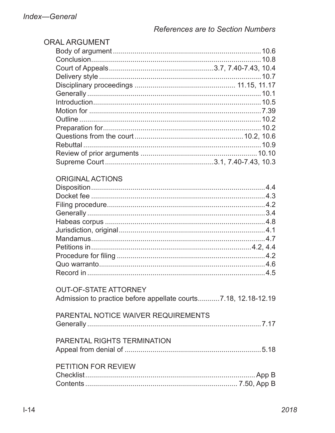| <b>ORAL ARGUMENT</b>    |  |
|-------------------------|--|
|                         |  |
|                         |  |
|                         |  |
|                         |  |
|                         |  |
|                         |  |
|                         |  |
|                         |  |
|                         |  |
|                         |  |
|                         |  |
|                         |  |
|                         |  |
|                         |  |
| <b>ORIGINAL ACTIONS</b> |  |
|                         |  |
|                         |  |
|                         |  |
|                         |  |
|                         |  |

| <b>OUT-OF-STATE ATTORNEY</b><br>Admission to practice before appellate courts7.18, 12.18-12.19 |
|------------------------------------------------------------------------------------------------|
| PARENTAL NOTICE WAIVER REQUIREMENTS                                                            |
| <b>PARENTAL RIGHTS TERMINATION</b>                                                             |
| <b>PETITION FOR REVIEW</b>                                                                     |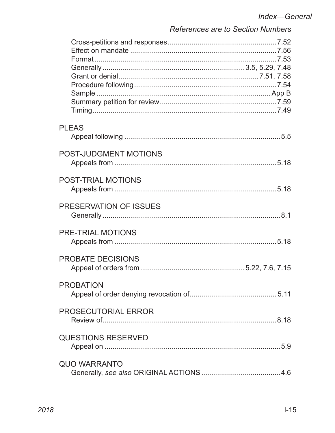| <b>PLEAS</b>                 |  |
|------------------------------|--|
| <b>POST-JUDGMENT MOTIONS</b> |  |
| POST-TRIAL MOTIONS           |  |
| PRESERVATION OF ISSUES       |  |
| PRE-TRIAL MOTIONS            |  |
| <b>PROBATE DECISIONS</b>     |  |
| <b>PROBATION</b>             |  |
| <b>PROSECUTORIAL ERROR</b>   |  |
| <b>QUESTIONS RESERVED</b>    |  |
| QUO WARRANTO                 |  |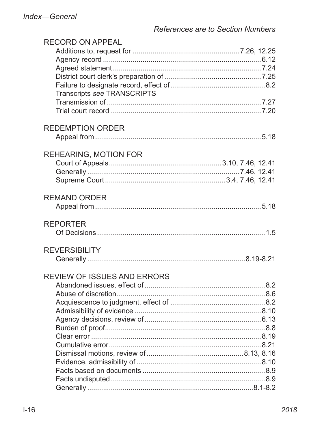| <b>RECORD ON APPEAL</b>            |  |
|------------------------------------|--|
|                                    |  |
|                                    |  |
|                                    |  |
|                                    |  |
|                                    |  |
| <b>Transcripts see TRANSCRIPTS</b> |  |
|                                    |  |
|                                    |  |
|                                    |  |
| <b>REDEMPTION ORDER</b>            |  |
|                                    |  |
|                                    |  |
| <b>REHEARING, MOTION FOR</b>       |  |
|                                    |  |
|                                    |  |
|                                    |  |
|                                    |  |
| <b>REMAND ORDER</b>                |  |
|                                    |  |
| <b>REPORTER</b>                    |  |
|                                    |  |
|                                    |  |
| <b>REVERSIBILITY</b>               |  |
|                                    |  |
|                                    |  |
| <b>REVIEW OF ISSUES AND ERRORS</b> |  |
|                                    |  |
|                                    |  |
|                                    |  |
|                                    |  |
|                                    |  |
|                                    |  |
|                                    |  |
|                                    |  |
|                                    |  |
|                                    |  |
|                                    |  |
|                                    |  |
|                                    |  |
|                                    |  |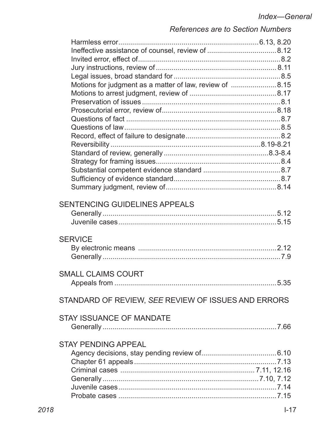| Motions for judgment as a matter of law, review of 8.15 |  |
|---------------------------------------------------------|--|
|                                                         |  |
|                                                         |  |
|                                                         |  |
|                                                         |  |
|                                                         |  |
|                                                         |  |
|                                                         |  |
|                                                         |  |
|                                                         |  |
|                                                         |  |
|                                                         |  |
|                                                         |  |
|                                                         |  |
| <b>SENTENCING GUIDELINES APPEALS</b>                    |  |
|                                                         |  |
|                                                         |  |
| <b>SERVICE</b>                                          |  |
|                                                         |  |
|                                                         |  |
|                                                         |  |
| <b>SMALL CLAIMS COURT</b>                               |  |
|                                                         |  |
|                                                         |  |
| STANDARD OF REVIEW, SEE REVIEW OF ISSUES AND ERRORS     |  |
|                                                         |  |
| <b>STAY ISSUANCE OF MANDATE</b>                         |  |
|                                                         |  |
|                                                         |  |
| <b>STAY PENDING APPEAL</b>                              |  |
|                                                         |  |
|                                                         |  |
|                                                         |  |
|                                                         |  |
|                                                         |  |
|                                                         |  |
|                                                         |  |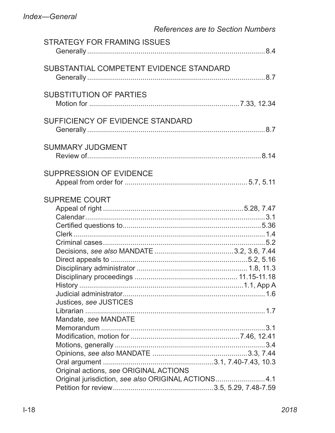| References are to Section Numbers                    |  |
|------------------------------------------------------|--|
| <b>STRATEGY FOR FRAMING ISSUES</b>                   |  |
|                                                      |  |
|                                                      |  |
| SUBSTANTIAL COMPETENT EVIDENCE STANDARD              |  |
|                                                      |  |
|                                                      |  |
| <b>SUBSTITUTION OF PARTIES</b>                       |  |
|                                                      |  |
|                                                      |  |
| SUFFICIENCY OF EVIDENCE STANDARD                     |  |
|                                                      |  |
|                                                      |  |
| <b>SUMMARY JUDGMENT</b>                              |  |
|                                                      |  |
|                                                      |  |
| <b>SUPPRESSION OF EVIDENCE</b>                       |  |
|                                                      |  |
|                                                      |  |
| <b>SUPREME COURT</b>                                 |  |
|                                                      |  |
|                                                      |  |
|                                                      |  |
|                                                      |  |
|                                                      |  |
|                                                      |  |
|                                                      |  |
|                                                      |  |
|                                                      |  |
|                                                      |  |
|                                                      |  |
| Justices, see JUSTICES                               |  |
|                                                      |  |
| Mandate, see MANDATE                                 |  |
|                                                      |  |
|                                                      |  |
|                                                      |  |
|                                                      |  |
|                                                      |  |
| Original actions, see ORIGINAL ACTIONS               |  |
| Original jurisdiction, see also ORIGINAL ACTIONS 4.1 |  |
|                                                      |  |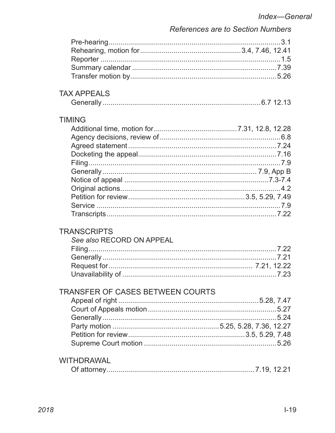| <b>TAX APPEALS</b> |  |
|--------------------|--|
|                    |  |
|                    |  |
| <b>TIMING</b>      |  |
|                    |  |
|                    |  |
|                    |  |
|                    |  |
|                    |  |
|                    |  |
|                    |  |
|                    |  |
|                    |  |
|                    |  |
|                    |  |
|                    |  |

| <b>TRANSCRIPTS</b>        |  |
|---------------------------|--|
| See also RECORD ON APPEAL |  |
|                           |  |
|                           |  |
|                           |  |
|                           |  |

#### TRANSFER OF CASES BETWEEN COURTS

#### WITHDRAWAL

|--|--|--|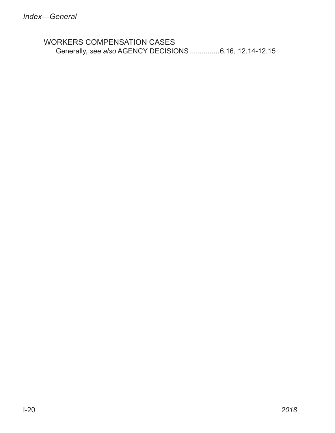WORKERS COMPENSATION CASES Generally, *see also* AGENCY DECISIONS ...............6.16, 12.14-12.15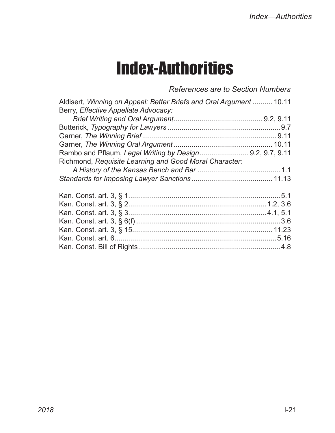# Index-Authorities

| Aldisert, Winning on Appeal: Better Briefs and Oral Argument  10.11 |  |
|---------------------------------------------------------------------|--|
| Berry, Effective Appellate Advocacy:                                |  |
|                                                                     |  |
|                                                                     |  |
|                                                                     |  |
|                                                                     |  |
| Rambo and Pflaum, Legal Writing by Design 9.2, 9.7, 9.11            |  |
| Richmond, Requisite Learning and Good Moral Character:              |  |
|                                                                     |  |
|                                                                     |  |
|                                                                     |  |
|                                                                     |  |
|                                                                     |  |
|                                                                     |  |
|                                                                     |  |
|                                                                     |  |
|                                                                     |  |
|                                                                     |  |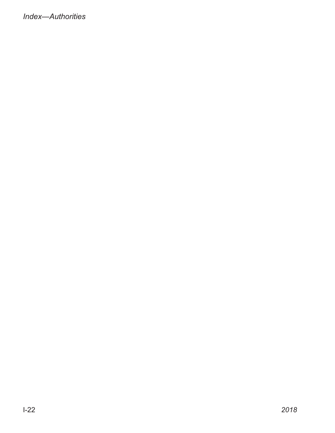**Index-Authorities**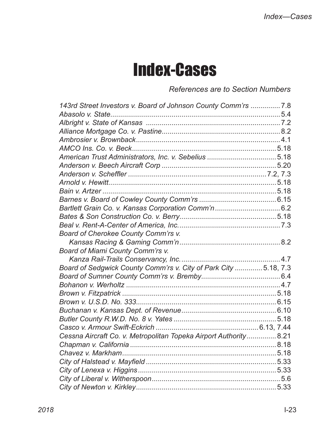# Index-Cases

| 143rd Street Investors v. Board of Johnson County Comm'rs 7.8     |  |
|-------------------------------------------------------------------|--|
|                                                                   |  |
|                                                                   |  |
|                                                                   |  |
|                                                                   |  |
|                                                                   |  |
|                                                                   |  |
|                                                                   |  |
|                                                                   |  |
|                                                                   |  |
|                                                                   |  |
|                                                                   |  |
|                                                                   |  |
|                                                                   |  |
|                                                                   |  |
| Board of Cherokee County Comm'rs v.                               |  |
|                                                                   |  |
| Board of Miami County Comm'rs v.                                  |  |
|                                                                   |  |
| Board of Sedgwick County Comm'rs v. City of Park City  5.18, 7.3  |  |
|                                                                   |  |
|                                                                   |  |
|                                                                   |  |
|                                                                   |  |
|                                                                   |  |
|                                                                   |  |
|                                                                   |  |
| Cessna Aircraft Co. v. Metropolitan Topeka Airport Authority 8.21 |  |
|                                                                   |  |
|                                                                   |  |
|                                                                   |  |
|                                                                   |  |
|                                                                   |  |
|                                                                   |  |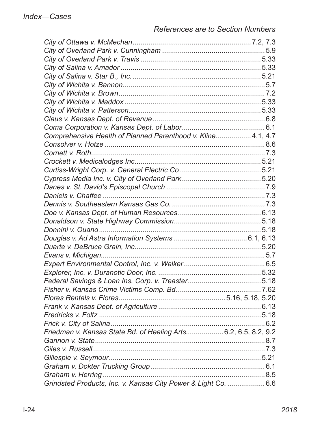| Comprehensive Health of Planned Parenthood v. Kline 4.1, 4.7    |  |
|-----------------------------------------------------------------|--|
|                                                                 |  |
|                                                                 |  |
|                                                                 |  |
|                                                                 |  |
|                                                                 |  |
|                                                                 |  |
|                                                                 |  |
|                                                                 |  |
|                                                                 |  |
|                                                                 |  |
|                                                                 |  |
|                                                                 |  |
|                                                                 |  |
|                                                                 |  |
|                                                                 |  |
|                                                                 |  |
|                                                                 |  |
|                                                                 |  |
|                                                                 |  |
|                                                                 |  |
|                                                                 |  |
|                                                                 |  |
| Friedman v. Kansas State Bd. of Healing Arts 6.2, 6.5, 8.2, 9.2 |  |
|                                                                 |  |
|                                                                 |  |
|                                                                 |  |
|                                                                 |  |
|                                                                 |  |
| Grindsted Products, Inc. v. Kansas City Power & Light Co. 6.6   |  |
|                                                                 |  |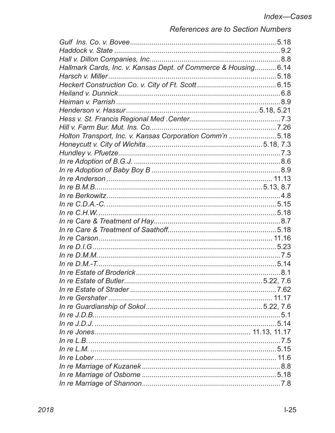| Hallmark Cards, Inc. v. Kansas Dept. of Commerce & Housing 6.14 |  |
|-----------------------------------------------------------------|--|
|                                                                 |  |
|                                                                 |  |
|                                                                 |  |
|                                                                 |  |
|                                                                 |  |
|                                                                 |  |
|                                                                 |  |
| Holton Transport, Inc. v. Kansas Corporation Comm'n 5.18        |  |
|                                                                 |  |
|                                                                 |  |
|                                                                 |  |
|                                                                 |  |
|                                                                 |  |
|                                                                 |  |
|                                                                 |  |
|                                                                 |  |
|                                                                 |  |
|                                                                 |  |
|                                                                 |  |
|                                                                 |  |
|                                                                 |  |
|                                                                 |  |
|                                                                 |  |
|                                                                 |  |
| In re Estate of Butler.                                         |  |
|                                                                 |  |
|                                                                 |  |
|                                                                 |  |
|                                                                 |  |
|                                                                 |  |
|                                                                 |  |
|                                                                 |  |
|                                                                 |  |
|                                                                 |  |
|                                                                 |  |
|                                                                 |  |
|                                                                 |  |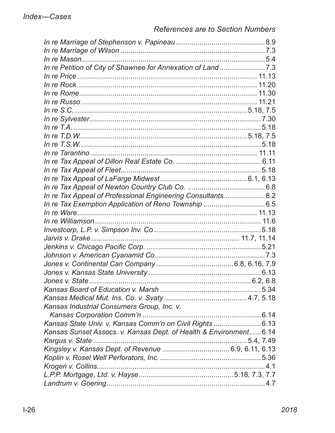| In re Tax Appeal of Professional Engineering Consultants8.2        |  |
|--------------------------------------------------------------------|--|
| In re Tax Exemption Application of Reno Township  6.5              |  |
|                                                                    |  |
|                                                                    |  |
|                                                                    |  |
|                                                                    |  |
|                                                                    |  |
|                                                                    |  |
|                                                                    |  |
|                                                                    |  |
| Jones v. State                                                     |  |
|                                                                    |  |
|                                                                    |  |
| Kansas Industrial Consumers Group, Inc. v.                         |  |
|                                                                    |  |
| Kansas State Univ. v. Kansas Comm'n on Civil Rights  6.13          |  |
| Kansas Sunset Assocs. v. Kansas Dept. of Health & Environment 6.14 |  |
|                                                                    |  |
|                                                                    |  |
|                                                                    |  |
|                                                                    |  |
|                                                                    |  |
|                                                                    |  |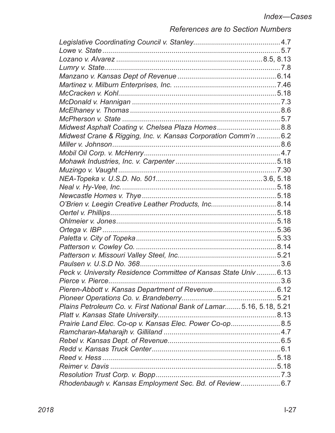| Midwest Asphalt Coating v. Chelsea Plaza Homes 8.8                    |  |
|-----------------------------------------------------------------------|--|
| Midwest Crane & Rigging, Inc. v. Kansas Corporation Comm'n  6.2       |  |
|                                                                       |  |
|                                                                       |  |
|                                                                       |  |
|                                                                       |  |
|                                                                       |  |
|                                                                       |  |
|                                                                       |  |
|                                                                       |  |
|                                                                       |  |
|                                                                       |  |
|                                                                       |  |
|                                                                       |  |
|                                                                       |  |
|                                                                       |  |
|                                                                       |  |
| Peck v. University Residence Committee of Kansas State Univ  6.13     |  |
|                                                                       |  |
|                                                                       |  |
|                                                                       |  |
| Plains Petroleum Co. v. First National Bank of Lamar 5.16, 5.18, 5.21 |  |
|                                                                       |  |
| Prairie Land Elec. Co-op v. Kansas Elec. Power Co-op8.5               |  |
|                                                                       |  |
|                                                                       |  |
|                                                                       |  |
|                                                                       |  |
|                                                                       |  |
|                                                                       |  |
| Rhodenbaugh v. Kansas Employment Sec. Bd. of Review 6.7               |  |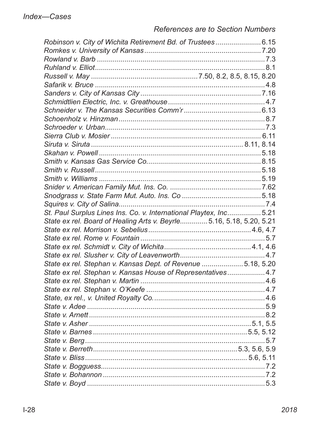| Robinson v. City of Wichita Retirement Bd. of Trustees 6.15         |  |
|---------------------------------------------------------------------|--|
|                                                                     |  |
|                                                                     |  |
|                                                                     |  |
|                                                                     |  |
|                                                                     |  |
|                                                                     |  |
|                                                                     |  |
|                                                                     |  |
|                                                                     |  |
|                                                                     |  |
|                                                                     |  |
|                                                                     |  |
|                                                                     |  |
|                                                                     |  |
|                                                                     |  |
|                                                                     |  |
|                                                                     |  |
|                                                                     |  |
|                                                                     |  |
| St. Paul Surplus Lines Ins. Co. v. International Playtex, Inc5.21   |  |
| State ex rel. Board of Healing Arts v. Beyrle5.16, 5.18, 5.20, 5.21 |  |
|                                                                     |  |
|                                                                     |  |
|                                                                     |  |
|                                                                     |  |
| State ex rel. Stephan v. Kansas Dept. of Revenue 5.18, 5.20         |  |
| State ex rel. Stephan v. Kansas House of Representatives4.7         |  |
|                                                                     |  |
|                                                                     |  |
|                                                                     |  |
|                                                                     |  |
|                                                                     |  |
|                                                                     |  |
|                                                                     |  |
|                                                                     |  |
|                                                                     |  |
|                                                                     |  |
|                                                                     |  |
|                                                                     |  |
|                                                                     |  |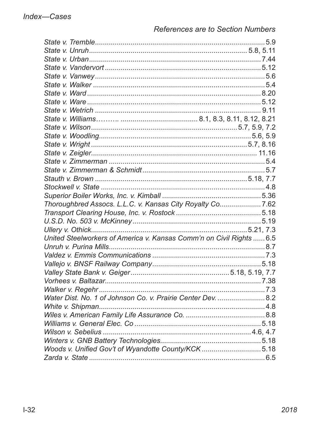| Thoroughbred Assocs. L.L.C. v. Kansas City Royalty Co7.62            |  |
|----------------------------------------------------------------------|--|
|                                                                      |  |
|                                                                      |  |
|                                                                      |  |
| United Steelworkers of America v. Kansas Comm'n on Civil Rights  6.5 |  |
|                                                                      |  |
|                                                                      |  |
|                                                                      |  |
|                                                                      |  |
|                                                                      |  |
|                                                                      |  |
| Water Dist. No. 1 of Johnson Co. v. Prairie Center Dev.  8.2         |  |
|                                                                      |  |
|                                                                      |  |
|                                                                      |  |
|                                                                      |  |
|                                                                      |  |
| Woods v. Unified Gov't of Wyandotte County/KCK5.18                   |  |
|                                                                      |  |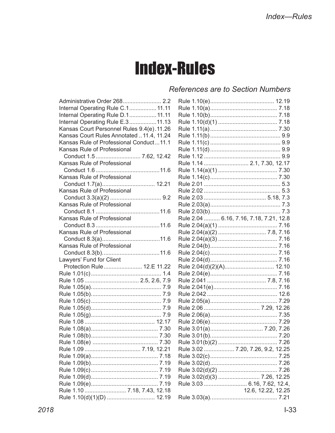# **Index-Rules**

| Internal Operating Rule C.1 11.11          |                                         |
|--------------------------------------------|-----------------------------------------|
| Internal Operating Rule D.1 11.11          |                                         |
| Internal Operating Rule E.311.13           |                                         |
| Kansas Court Personnel Rules 9.4(e). 11.26 |                                         |
| Kansas Court Rules Annotated  11.4, 11.24  |                                         |
| Kansas Rule of Professional Conduct11.1    |                                         |
| Kansas Rule of Professional                |                                         |
| Conduct 1.5  7.62, 12.42                   |                                         |
| Kansas Rule of Professional                | Rule 1.14  2.1, 7.30, 12.17             |
|                                            |                                         |
| Kansas Rule of Professional                |                                         |
|                                            |                                         |
| Kansas Rule of Professional                |                                         |
|                                            |                                         |
| Kansas Rule of Professional                |                                         |
|                                            |                                         |
| Kansas Rule of Professional                | Rule 2.04  6.16, 7.16, 7.18, 7.21, 12.8 |
|                                            |                                         |
| Kansas Rule of Professional                |                                         |
|                                            |                                         |
| Kansas Rule of Professional                |                                         |
|                                            |                                         |
| Lawyers' Fund for Client                   |                                         |
| Protection Rule 12.E 11.22                 |                                         |
|                                            |                                         |
|                                            |                                         |
|                                            |                                         |
|                                            |                                         |
|                                            |                                         |
|                                            |                                         |
|                                            |                                         |
|                                            |                                         |
|                                            |                                         |
|                                            |                                         |
|                                            |                                         |
|                                            | Rule 3.02  7.20, 7.26, 9.2, 12.25       |
|                                            |                                         |
|                                            |                                         |
|                                            |                                         |
|                                            |                                         |
|                                            | Rule 3.03  6.16, 7.62, 12.4,            |
| Rule 1.10  7.18, 7.43, 12.18               | 12.6, 12.22, 12.25                      |
|                                            |                                         |
|                                            |                                         |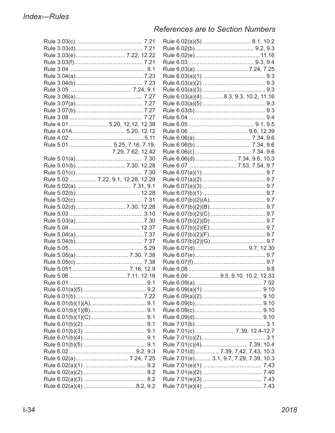| Rule 3.03(e) 7.22, 12.22           |                   |
|------------------------------------|-------------------|
|                                    |                   |
|                                    |                   |
|                                    |                   |
|                                    |                   |
|                                    |                   |
|                                    |                   |
|                                    |                   |
|                                    |                   |
|                                    |                   |
| Rule 4.01  5.20, 12.12, 12.38      |                   |
|                                    |                   |
|                                    |                   |
| Rule 5.01  5.25, 7.16, 7.19,       |                   |
|                                    | 7.29, 7.62, 12.42 |
|                                    |                   |
|                                    |                   |
|                                    |                   |
|                                    |                   |
| Rule 5.02  7.22, 9.1, 12.28, 12.29 |                   |
|                                    |                   |
|                                    |                   |
|                                    |                   |
| Rule 5.02(d) 7.30, 12.28           |                   |
|                                    |                   |
|                                    |                   |
|                                    |                   |
|                                    |                   |
|                                    |                   |
|                                    |                   |
|                                    |                   |
|                                    |                   |
|                                    |                   |
|                                    |                   |
|                                    |                   |
|                                    |                   |
|                                    |                   |
|                                    |                   |
|                                    |                   |
|                                    |                   |
|                                    |                   |
|                                    |                   |
|                                    |                   |
|                                    |                   |
|                                    |                   |
| Rule 6.02(a) 7.24, 7.25            |                   |
|                                    |                   |
|                                    |                   |
|                                    |                   |
|                                    |                   |
|                                    |                   |

| Rule 6.02(a)(5)  8.1, 10.2              |
|-----------------------------------------|
|                                         |
|                                         |
|                                         |
|                                         |
| Rule 6.03(a) 7.24, 7.25                 |
|                                         |
|                                         |
|                                         |
| Rule 6.03(a)(4) 8.3, 9.3, 10.2, 11.16   |
|                                         |
|                                         |
|                                         |
|                                         |
|                                         |
|                                         |
|                                         |
|                                         |
|                                         |
| Rule 6.06(d) 7.34, 9.6, 10.3            |
| Rule 6.07  7.53, 7.54, 9.7              |
|                                         |
|                                         |
|                                         |
|                                         |
|                                         |
|                                         |
|                                         |
|                                         |
|                                         |
|                                         |
|                                         |
|                                         |
|                                         |
|                                         |
|                                         |
|                                         |
| Rule 6.09  9.5, 9.10, 10.2, 12.33       |
|                                         |
|                                         |
|                                         |
|                                         |
|                                         |
|                                         |
|                                         |
|                                         |
| Rule 7.01(c) 7.39, 12.4-12.7            |
|                                         |
|                                         |
| Rule 7.01(d) 7.39, 7.42, 7.43, 10.3     |
| Rule 7.01(e) 3.1, 9.7, 7.29, 7.39, 10.3 |
|                                         |
|                                         |
|                                         |
|                                         |
|                                         |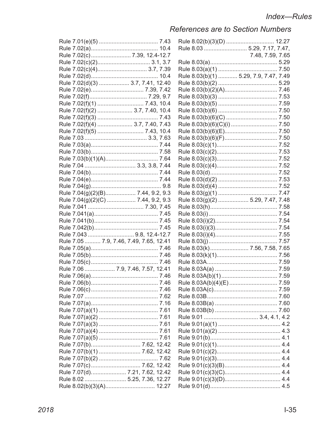|                                         | Rule 8.03  5.29, 7.17, 7.47,           |                                   |
|-----------------------------------------|----------------------------------------|-----------------------------------|
| Rule 7.02(c) 7.39, 12.4-12.7            |                                        | 7.48, 7.59, 7.65                  |
|                                         |                                        |                                   |
|                                         |                                        |                                   |
|                                         | Rule 8.03(b)(1)  5.29, 7.9, 7.47, 7.49 |                                   |
| Rule 7.02(d)(3)  3.7, 7.41, 12.40       |                                        |                                   |
|                                         |                                        |                                   |
|                                         |                                        |                                   |
|                                         |                                        |                                   |
| Rule 7.02(f)(2)  3.7, 7.40, 10.4        |                                        |                                   |
|                                         |                                        |                                   |
| Rule 7.02(f)(4)  3.7, 7.40, 7.43        |                                        |                                   |
| Rule 7.02(f)(5)  7.43, 10.4             |                                        |                                   |
|                                         |                                        |                                   |
|                                         |                                        |                                   |
|                                         |                                        |                                   |
|                                         |                                        |                                   |
|                                         |                                        |                                   |
|                                         |                                        |                                   |
|                                         |                                        |                                   |
|                                         |                                        |                                   |
| Rule 7.04(g)(2)(B) 7.44, 9.2, 9.3       |                                        |                                   |
| Rule 7.04(g)(2)(C)  7.44, 9.2, 9.3      |                                        | Rule 8.03(g)(2)  5.29, 7.47, 7.48 |
|                                         |                                        |                                   |
|                                         |                                        |                                   |
|                                         |                                        |                                   |
|                                         |                                        |                                   |
|                                         |                                        |                                   |
| Rule 7.05  7.9, 7.46, 7.49, 7.65, 12.41 |                                        |                                   |
|                                         |                                        | Rule 8.03(k) 7.56, 7.58, 7.65     |
|                                         |                                        |                                   |
|                                         |                                        |                                   |
| Rule 7.06  7.9, 7.46, 7.57, 12.41       |                                        |                                   |
|                                         |                                        |                                   |
|                                         |                                        |                                   |
|                                         |                                        |                                   |
|                                         |                                        |                                   |
|                                         |                                        |                                   |
|                                         |                                        |                                   |
|                                         |                                        |                                   |
|                                         |                                        |                                   |
|                                         |                                        |                                   |
|                                         |                                        |                                   |
|                                         |                                        |                                   |
|                                         |                                        |                                   |
|                                         |                                        |                                   |
|                                         |                                        |                                   |
| Rule 7.07(d) 7.21, 7.62, 12.42          |                                        |                                   |
| Rule 8.02  5.25, 7.36, 12.27            |                                        |                                   |
|                                         |                                        |                                   |
|                                         |                                        |                                   |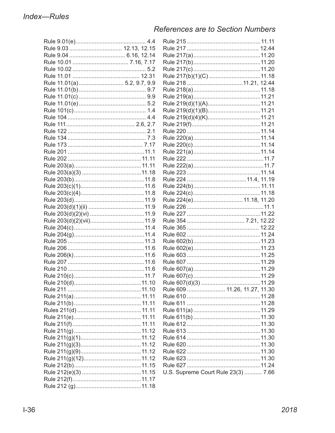| Rule 224(e) 11.18, 11.20            |
|-------------------------------------|
|                                     |
|                                     |
|                                     |
|                                     |
|                                     |
|                                     |
|                                     |
|                                     |
|                                     |
|                                     |
|                                     |
|                                     |
| Rule 609  11.26, 11.27, 11.30       |
|                                     |
|                                     |
|                                     |
|                                     |
|                                     |
|                                     |
|                                     |
|                                     |
|                                     |
|                                     |
|                                     |
| U.S. Supreme Court Rule 23(3)  7.66 |
|                                     |
|                                     |
|                                     |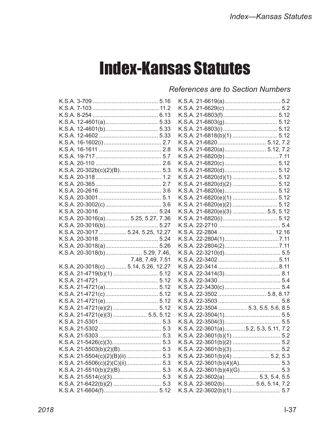## **Index-Kansas Statutes**

| K.S.A. 20-3016(a) 5.25, 5.27, 7.36   |                  |  |
|--------------------------------------|------------------|--|
|                                      |                  |  |
| K.S.A. 20-3017  5.24, 5.25, 12.27    |                  |  |
|                                      |                  |  |
|                                      |                  |  |
| K.S.A. 20-3018(b) 5.29, 7.46,        |                  |  |
|                                      | 7.48, 7.49, 7.51 |  |
| K.S.A. 20-3018(c)  5.14, 5.26, 12.27 |                  |  |
|                                      |                  |  |
|                                      |                  |  |
|                                      |                  |  |
|                                      |                  |  |
|                                      |                  |  |
|                                      |                  |  |
| K.S.A. 21-4721(e)(3)  5.5, 5.12      |                  |  |
|                                      |                  |  |
|                                      |                  |  |
|                                      |                  |  |
|                                      |                  |  |
|                                      |                  |  |
|                                      |                  |  |
|                                      |                  |  |
|                                      |                  |  |
|                                      |                  |  |
|                                      |                  |  |
|                                      |                  |  |
|                                      |                  |  |

| K.S.A. 21-6820(a) 5.12, 7.2          |  |
|--------------------------------------|--|
|                                      |  |
|                                      |  |
|                                      |  |
|                                      |  |
|                                      |  |
|                                      |  |
|                                      |  |
|                                      |  |
| K.S.A. 21-6820(e)(3)  5.5, 5.12      |  |
|                                      |  |
|                                      |  |
|                                      |  |
|                                      |  |
|                                      |  |
|                                      |  |
|                                      |  |
|                                      |  |
|                                      |  |
|                                      |  |
|                                      |  |
|                                      |  |
|                                      |  |
|                                      |  |
| K.S.A. 22-3504  5.3, 5.5, 5.6, 8.5   |  |
|                                      |  |
|                                      |  |
| K.S.A. 22-3601(a)5.2, 5.3, 5.11, 7.2 |  |
|                                      |  |
|                                      |  |
|                                      |  |
|                                      |  |
| K.S.A. 22-3601(b)(4)  5.2, 5.3       |  |
|                                      |  |
|                                      |  |
| K.S.A. 22-3602(a) 5.3, 5.4, 5.5      |  |
| K.S.A. 22-3602(b) 5.6, 5.14, 7.2     |  |
|                                      |  |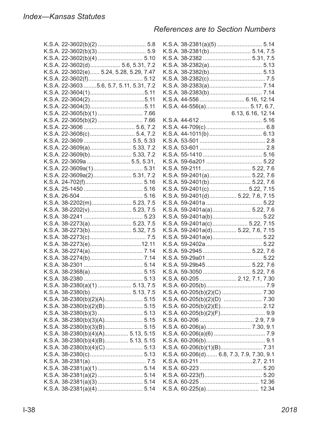| K.S.A. 22-3602(d) 5.6, 5.31, 7.2          |                                           |                   |
|-------------------------------------------|-------------------------------------------|-------------------|
| K.S.A. 22-3602(e) 5.24, 5.28, 5.29, 7.47  |                                           |                   |
|                                           |                                           |                   |
| K.S.A. 22-3603  5.6, 5.7, 5.11, 5.31, 7.2 |                                           |                   |
|                                           |                                           |                   |
|                                           | K.S.A. 44-556  6.16, 12.14                |                   |
|                                           |                                           |                   |
|                                           |                                           | 6.13, 6.16, 12.14 |
|                                           |                                           |                   |
|                                           |                                           |                   |
|                                           |                                           |                   |
|                                           |                                           |                   |
|                                           |                                           |                   |
|                                           |                                           |                   |
|                                           |                                           |                   |
|                                           |                                           |                   |
|                                           | K.S.A. 59-2401(a) 5.22, 7.6               |                   |
|                                           |                                           |                   |
|                                           |                                           |                   |
|                                           | K.S.A. 59-2401(d) 5.22, 7.6, 7.15         |                   |
|                                           |                                           |                   |
|                                           | K.S.A. 59-2401a(a) 5.22, 7.6              |                   |
|                                           |                                           |                   |
| K.S.A. 38-2273(a) 5.23, 7.5               | K.S.A. 59-2401a(c) 5.22, 7.15             |                   |
|                                           | K.S.A. 59-2401a(d) 5.22, 7.6, 7.15        |                   |
|                                           |                                           |                   |
|                                           |                                           |                   |
|                                           |                                           |                   |
|                                           |                                           |                   |
|                                           | K.S.A. 59-29b45  5.22, 7.6                |                   |
|                                           |                                           |                   |
|                                           |                                           |                   |
|                                           | K.S.A. 60-205  2.12, 7.1, 7.30            |                   |
|                                           |                                           |                   |
|                                           |                                           |                   |
|                                           |                                           |                   |
|                                           |                                           |                   |
|                                           |                                           |                   |
|                                           |                                           |                   |
|                                           |                                           |                   |
| K.S.A. 38-2380(b)(4)(A) 5.13, 5.15        |                                           |                   |
| K.S.A. 38-2380(b)(4)(B) 5.13, 5.15        |                                           |                   |
|                                           |                                           |                   |
|                                           | K.S.A. 60-206(d) 6.8, 7.3, 7.9, 7.30, 9.1 |                   |
|                                           |                                           |                   |
|                                           |                                           |                   |
|                                           |                                           |                   |
|                                           |                                           |                   |
|                                           |                                           |                   |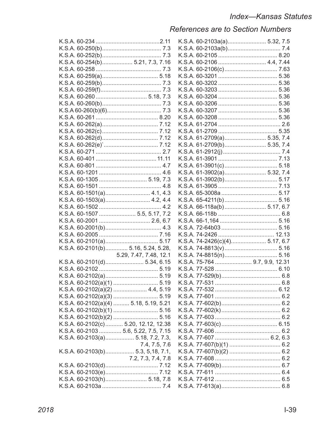| K.S.A. 60-254(b) 5.21, 7.3, 7.16       |                        |
|----------------------------------------|------------------------|
|                                        |                        |
|                                        |                        |
|                                        |                        |
|                                        |                        |
|                                        |                        |
|                                        |                        |
|                                        |                        |
|                                        |                        |
|                                        |                        |
|                                        |                        |
|                                        |                        |
|                                        |                        |
|                                        |                        |
|                                        |                        |
|                                        |                        |
|                                        |                        |
|                                        |                        |
|                                        |                        |
|                                        |                        |
|                                        |                        |
|                                        |                        |
|                                        |                        |
|                                        |                        |
|                                        |                        |
| K.S.A. 60-1503(a) 4.2, 4.4             |                        |
|                                        |                        |
| K.S.A. 60-1507  5.5, 5.17, 7.2         |                        |
|                                        |                        |
|                                        |                        |
|                                        |                        |
|                                        |                        |
|                                        |                        |
| K.S.A. 60-2101(b) 5.16, 5.24, 5.28,    |                        |
|                                        |                        |
|                                        | 5.29, 7.47, 7.48, 12.1 |
| K.S.A. 60-2101(d) 5.34, 6.15           |                        |
|                                        |                        |
|                                        |                        |
|                                        |                        |
| K.S.A. 60-2102(a)(1)  5.19             |                        |
| K.S.A. 60-2102(a)(2)  4.4, 5.19        |                        |
|                                        |                        |
| K.S.A. 60-2102(a)(4)  5.18, 5.19, 5.21 |                        |
|                                        |                        |
|                                        |                        |
|                                        |                        |
| K.S.A. 60-2102(c)  5.20, 12.12, 12.38  |                        |
| K.S.A. 60-2103  5.6, 5.22, 7.5, 7.15   |                        |
|                                        |                        |
| K.S.A. 60-2103(a) 5.18, 7.2, 7.3,      |                        |
|                                        | 7.4, 7.5, 7.6          |
| K.S.A. 60-2103(b) 5.3, 5,18, 7.1,      |                        |
|                                        | 7.2, 7.3, 7.4, 7.8     |
|                                        |                        |
|                                        |                        |
|                                        |                        |
| K.S.A. 60-2103(h) 5.18, 7.8            |                        |
|                                        |                        |
|                                        |                        |

| K.S.A. 60-2103a(a) 5.32, 7.5   |  |
|--------------------------------|--|
|                                |  |
|                                |  |
|                                |  |
| K.S.A. 60-2106  4.4, 7.44      |  |
|                                |  |
|                                |  |
|                                |  |
|                                |  |
|                                |  |
|                                |  |
|                                |  |
|                                |  |
|                                |  |
|                                |  |
|                                |  |
|                                |  |
| K.S.A. 61-2709(a) 5.35, 7.4    |  |
|                                |  |
|                                |  |
|                                |  |
|                                |  |
|                                |  |
| K.S.A. 61-3902(a) 5.32, 7.4    |  |
|                                |  |
|                                |  |
|                                |  |
|                                |  |
|                                |  |
|                                |  |
|                                |  |
|                                |  |
|                                |  |
|                                |  |
|                                |  |
|                                |  |
|                                |  |
|                                |  |
| K.S.A. 75-764  9.7, 9.9, 12.31 |  |
|                                |  |
|                                |  |
|                                |  |
|                                |  |
|                                |  |
|                                |  |
|                                |  |
|                                |  |
|                                |  |
|                                |  |
|                                |  |
|                                |  |
|                                |  |
|                                |  |
|                                |  |
|                                |  |
|                                |  |
|                                |  |
|                                |  |
|                                |  |
|                                |  |
|                                |  |